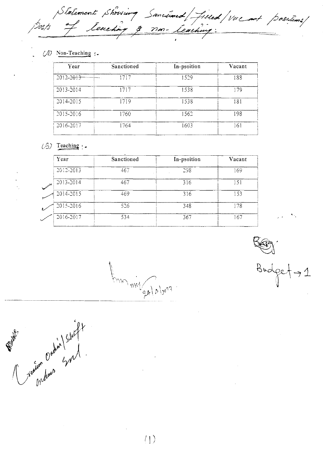Statement showing Sanctimed/filled/vulant positions/<br>Dosts of teaching <u>3 non-teaching:</u>

 $(1)$  Non-Teaching :-

| Sanctioned | In-psoition | Vacant |
|------------|-------------|--------|
| 1717       | 1529        | 188    |
| 1717       | 1538        | 179    |
| 1719       | 1538        | 181    |
| 1760       | 1562        | 198    |
| 1764       | 1603        | 161    |
|            |             |        |

### $(3)$  Teaching :-

| Year                       | Sanctioned | In-psoition | Vacant |
|----------------------------|------------|-------------|--------|
| 2012-2013                  | 467        | 298         | 169    |
| 2013-2014<br>$\mathscr{S}$ | 467        | 316         | 151    |
| 2014-2015                  | 469        | 316         | 153    |
| 2015-2016                  | 526        | 348         | 178    |
| 2016-2017                  | 534        | 367         | 167    |

MAN may 94/4/2019

 $Bud$ 

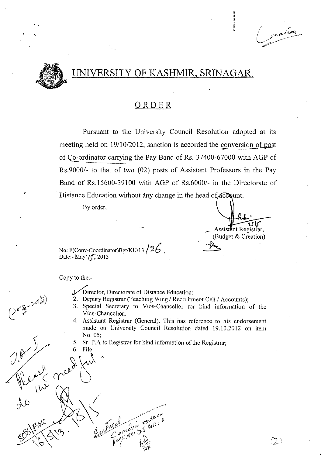# OF KASHMIR, SRINAGAR.



## ORDER

Pursuant to the University Council Resolution adopted at its meeting held on 19/10/2012, sanction is accorded the conversion of post of G9-ordinator carrying the Pay Band of Rs. 37400-67000 with AGP of Rs.9000/- to that of two (02) posts of Assistant Professors in the Pay Band of Rs.15600-39100 with AGP of *Rs.60001-* in the Directorate of Distance Education without any change in the head of account.

Byorder,

 $\sqrt{5}$ Assist**a**nt Registrar, (Budget & Creation)  $\mathcal{L}$  .  $\mathcal{L}$ 

 $(2)$ 

~ ...

No: F(Conv-Coordinator)Bgt/KU/13 /  $26$ . Date:- May $\sqrt{\zeta}$ , 2013

do  $\bigotimes_{k=1}^{\infty} \bigotimes_{k=1}^{\infty} \bigotimes_{k=1}^{\infty}$ 

 $ext' \sim t$  , free two means. 4

 $\frac{6}{\sqrt{2}}\sqrt{3}$  . Julhe medings

 $\setminus$   $\setminus$   $\setminus$   $\setminus$   $\setminus$   $\setminus$   $\setminus$   $\setminus$ 

Copy to the:-

 $j^{\prime\prime}$  creed fut

 $V^{\sim}$   $W^{\sim}$ 

- /Director, Directorate of Distance Education;
- 2. Deputy Registrar (Teaching Wing / Recruitment Cell / Accounts);
- 3. Special . Secretary to Vice-Chancellor for kind information of the Vice-Chancellor;
- 4. Assistant Registrar (General). This has reference to his endorsement made on University Council Resolution dated 19.10.2012 on item *«* No. 05;
- 5. Sr. P.A to Registrar for kind information of the Registrar; 6. File.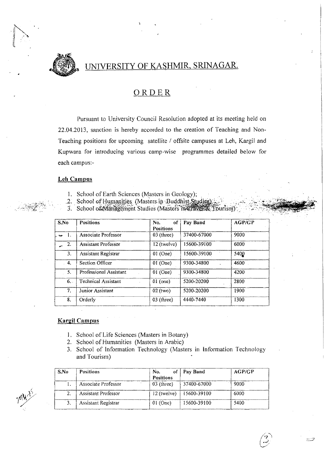

 $\sum_{i=1}^n$ 

*'/ .F' •••.* I • t .

## UNIVERSITY OF KASHMIR, SRINAGAR.

### ORDER

Pursuant to University Council Resolution adopted at its meeting held on 22.04.2013, sanction is hereby accorded to the creation of Teaching and Non-Teaching positions for upcoming satellite / offsite campuses at Leh, Kargil and Kupwara for introducing various camp-wise programmes detailed below for each campus:-

#### Leh Campus

- l. School of Earth Sciences (Masters in Geology);
- 2. School of Humanities (Masters in Buddhist Studies)
- 3. School of Management Studies (Masters in Taves Tourism).

| S.No   |    | <b>Positions</b>           | No.<br>оf<br><b>Positions</b> | Pay Band    | <b>AGP/GP</b> |
|--------|----|----------------------------|-------------------------------|-------------|---------------|
| $\sim$ | Η. | Associate Professor        | $03$ (three)                  | 37400-67000 | 9000          |
|        | 2. | <b>Assistant Professor</b> | 12 (twelve)                   | 15600-39100 | 6000          |
|        | 3. | Assistant Registrar        | $01$ (One)                    | 15600-39100 | 540Q          |
|        | 4. | Section Officer            | $01$ (One)                    | 9300-34800  | 4600          |
|        | 5. | Professional Assistant     | $01$ (One)                    | 9300-34800  | 4200          |
|        | 6. | <b>Technical Assistant</b> | $01$ (one)                    | 5200-20200  | 2800          |
|        | 7. | Junior Assistant           | $02$ (two)                    | 5200-20200  | 1900          |
|        | 8. | Orderly                    | $03$ (three)                  | 4440-7440   | 1300          |

#### Kargil Campus

- 1. School of Life Sciences (Masters in Botany)
- 2. School of Humanities (Masters in Arabic)
- 3. School of Information Technology (Masters in Information Technology and Tourism)

| SNO | <b>Positions</b>           | No.<br><b>Positions</b> | Pay Band                    | AGP/GP |
|-----|----------------------------|-------------------------|-----------------------------|--------|
|     | Associate Professor        | $03$ (three)            | 137400-67000                | 9000   |
|     | <b>Assistant Professor</b> |                         | 12 (twelve)   $15600-39100$ | 6000   |
|     | <b>Assistant Registrar</b> | $01$ (One)              | $15600 - 39100$             | 5400   |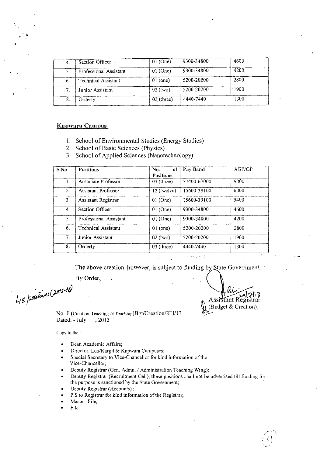| 4.   | Section Officer               | $01$ (One)   | 9300-34800 | 4600 |
|------|-------------------------------|--------------|------------|------|
|      | <b>Professional Assistant</b> | $01$ (One)   | 9300-34800 | 4200 |
| -6.  | Technical Assistant           | $01$ (one)   | 5200-20200 | 2800 |
| . 7. | Junior Assistant              | $02$ (two)   | 5200-20200 | 1900 |
| -8.  | Orderly                       | $03$ (three) | 4440-7440  | 1300 |

#### Kupwara Campus

- 1. School of Environmental Studies (Energy Studies)
- 2. School of Basic Sciences (Physics) .
- 3. School of Applied Sciences (Nanotechnology)

| S.No | <b>Positions</b>           | of<br>No.<br><b>Positions</b> | Pay Band    | AGP/GP |
|------|----------------------------|-------------------------------|-------------|--------|
| 1.   | Associate Professor        | $03$ (three)                  | 37400-67000 | 9000   |
| 2.   | <b>Assistant Professor</b> | $12$ (twelve)                 | 15600-39100 | 6000   |
| 3.   | Assistant Registrar        | $01$ (One)                    | 15600-39100 | 5400   |
| 4.   | Section Officer            | $01$ (One)                    | 9300-34800  | 4600   |
| 5.   | Professional Assistant     | $01$ (One)                    | 9300-34800  | 4200   |
| 6.   | Technical Assistant        | $01$ (one)                    | 5200-20200  | 2800   |
| 7.   | Junior Assistant           | $02$ (two)                    | 5200-20200  | 1900   |
| 8.   | Orderly                    | $03$ (three)                  | 4440-7440   | 1300   |

The above creation, however, is subject to funding by State Government.

والمساورية

By Order,

45 positions (2015-16)

No. F (Creation-Teaching-N.Teaching)Bgt/Creation/KU/13 Dated:-July ,2013

Copy to the:-

- Dean Academic Affairs;
- Director, Leh/Kargil & Kupwara Campuses;
- Special Secretary to Vice-Chancellor for kind information of the Vice-Chancellor;
- Deputy Registrar (Gen. Admn. *I* Administration Teaching Wing);
- Deputy Registrar (Recruitment Cell), these positions shall not be advertised till funding for the purpose is sanctioned by the State Government;
- Deputy Registrar (Accounts) ;
- P.S to Registrar for kind information of the Registrar;
- Master File;
- File.

 $\sum$   $\vert \cdot \rangle$ Assistant Registrar (Budget & Creation).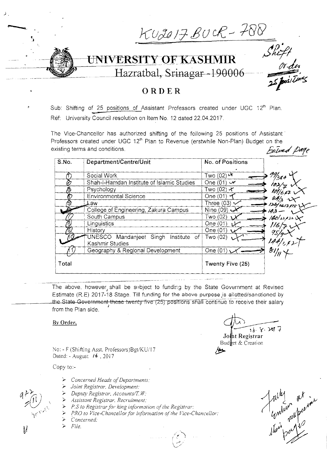KU2017 BUCR - 788 ERSITY OF KASHMIR<br>Hazratbal, Srinagar-190006 UNIVERSITY OF KASHMIR **ORDER**  ċ

Sub: Shifting of 25 positions of Assistant Professors created under UGC 12<sup>th</sup> Plan. Ref: University Council resolution on Item No. 12 dated 22.04.2017.

The Vice-Chancellor has authorized shifting of the following 25 positions of Assistant Professors created under UGC 12<sup>th</sup> Plan to Revenue (erstwhile Non-Plan) Budget on the existing terms and conditions. **by a finite of the conditions** *failured Page* 

| S.No. | Department/Centre/Unit                                     | No. of Positions                          |                    |
|-------|------------------------------------------------------------|-------------------------------------------|--------------------|
|       | Social Work                                                | Two (02) $\bar{\boldsymbol{\mathcal{X}}}$ | 99/384             |
| è     | Shah-I-Hamdan Institute of Islamic Studies                 | One $(01)$ $\vee$                         |                    |
| 13    | Psychology                                                 | Two (02) ન∕                               |                    |
| Đ     | <b>Environmental Science</b>                               | One $(01)$                                |                    |
| 5     | Law                                                        | Three $(03) \sim$                         | 126/1617918        |
|       | College of Engineering, Zakura Campus                      | Nine $(09)$                               | 4.4                |
|       | South Campus                                               | Two (02)                                  | $140/32/33$ $\chi$ |
| ලි    | Linguistics                                                | One (01)<br>سملية                         |                    |
|       | History                                                    | One $(01)$                                |                    |
|       | UNESCO Mandanjeet Singh<br>Institute of<br>Kashmir Studies | Two (02)                                  |                    |
|       | Geography & Regional Development                           | One $(01)$                                | $\mathcal{E}$ //   |
| Total |                                                            | Twenty Five (25)                          |                    |

The above, however shall be subject to funding by the State Government at Revised Estimate (R.E) 2017-18 Stage. Till funding for the above purpoae js allotted/sanctioned by the State Government these twenty five (25) positions shall continue to receive their salary from the Plan side.

**By Order,** 

No: - F (Shifting Asst. Professors)Bgt/KU/17 Dated: - August **/6.** 2017

Copy to:-

- *»: Concerned Heads* 0/ *Departments:*
- >- *Joint Registrar. Development:*
- >- *Deputy Registrar. Accounts/T W:*
- **>-** *Assistant Registrar. Recruitment:*
- <sup>-</sup> *P.S to Registrar for king information of the Registrar:*
- <sup>-</sup> *PRO to Vice-Chancellor for information of the Vice-Chancellor:*
- >- *Concerned:*
- >- *File.*

 $\bigcap_{\alpha\in\mathbb{N}}$  $16.8.2077$ Jo~t **Registrar**  Budket & Creation *IJ>* 



 $\downarrow$ 

).